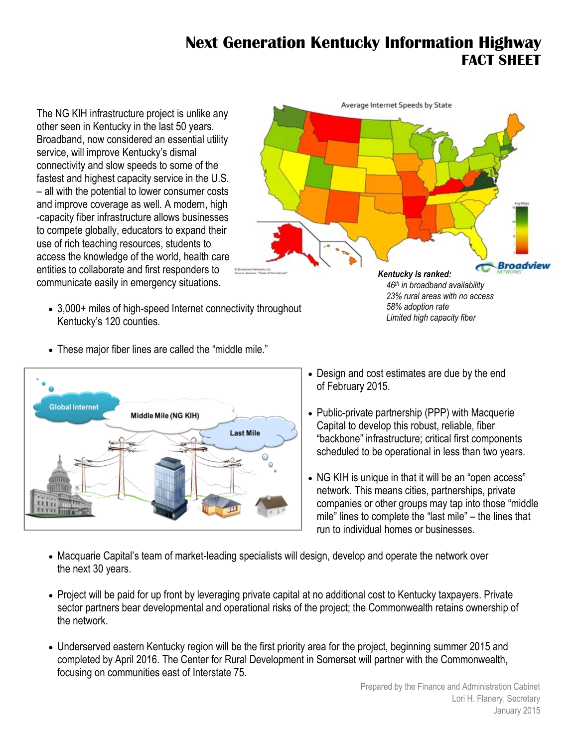## **Next Generation Kentucky Information Highway FACT SHEET**

The NG KIH infrastructure project is unlike any other seen in Kentucky in the last 50 years. Broadband, now considered an essential utility service, will improve Kentucky's dismal connectivity and slow speeds to some of the fastest and highest capacity service in the U.S. – all with the potential to lower consumer costs and improve coverage as well. A modern, high -capacity fiber infrastructure allows businesses to compete globally, educators to expand their use of rich teaching resources, students to access the knowledge of the world, health care entities to collaborate and first responders to communicate easily in emergency situations.

- 3,000+ miles of high-speed Internet connectivity throughout Kentucky's 120 counties.
- These major fiber lines are called the "middle mile."





## *46th in broadband availability 23% rural areas with no access 58% adoption rate Limited high capacity fiber*

- Design and cost estimates are due by the end of February 2015.
- Public-private partnership (PPP) with Macquerie Capital to develop this robust, reliable, fiber "backbone" infrastructure; critical first components scheduled to be operational in less than two years.
- NG KIH is unique in that it will be an "open access" network. This means cities, partnerships, private companies or other groups may tap into those "middle mile" lines to complete the "last mile" – the lines that run to individual homes or businesses.
- Macquarie Capital's team of market-leading specialists will design, develop and operate the network over the next 30 years.
- Project will be paid for up front by leveraging private capital at no additional cost to Kentucky taxpayers. Private sector partners bear developmental and operational risks of the project; the Commonwealth retains ownership of the network.
- Underserved eastern Kentucky region will be the first priority area for the project, beginning summer 2015 and completed by April 2016. The Center for Rural Development in Somerset will partner with the Commonwealth, focusing on communities east of Interstate 75.